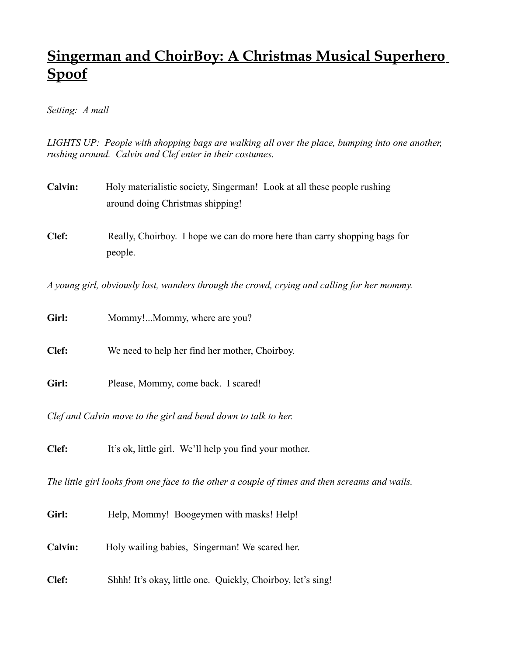## **Singerman and ChoirBoy: A Christmas Musical Superhero Spoof**

## *Setting: A mall*

*LIGHTS UP: People with shopping bags are walking all over the place, bumping into one another, rushing around. Calvin and Clef enter in their costumes.*

- **Calvin:** Holy materialistic society, Singerman! Look at all these people rushing around doing Christmas shipping!
- **Clef:** Really, Choirboy. I hope we can do more here than carry shopping bags for people.

*A young girl, obviously lost, wanders through the crowd, crying and calling for her mommy.*

| Girl:                                                          | Mommy!Mommy, where are you?                    |  |
|----------------------------------------------------------------|------------------------------------------------|--|
| Clef:                                                          | We need to help her find her mother, Choirboy. |  |
| Girl:                                                          | Please, Mommy, come back. I scared!            |  |
| Clef and Calvin move to the girl and bend down to talk to her. |                                                |  |

**Clef:** It's ok, little girl. We'll help you find your mother.

*The little girl looks from one face to the other a couple of times and then screams and wails.*

- Girl: Help, Mommy! Boogeymen with masks! Help!
- **Calvin:** Holy wailing babies, Singerman! We scared her.
- **Clef:** Shhh! It's okay, little one. Quickly, Choirboy, let's sing!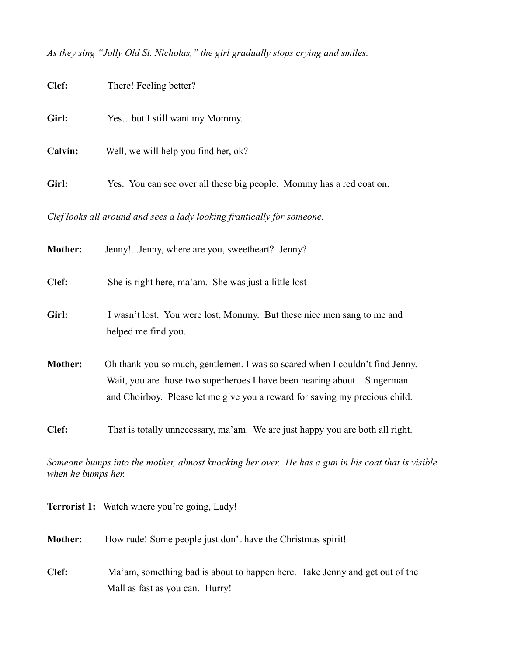*As they sing "Jolly Old St. Nicholas," the girl gradually stops crying and smiles.*

| Clef:   | There! Feeling better?                                                                                                                                                                                                                 |
|---------|----------------------------------------------------------------------------------------------------------------------------------------------------------------------------------------------------------------------------------------|
| Girl:   | Yesbut I still want my Mommy.                                                                                                                                                                                                          |
| Calvin: | Well, we will help you find her, ok?                                                                                                                                                                                                   |
| Girl:   | Yes. You can see over all these big people. Mommy has a red coat on.                                                                                                                                                                   |
|         | Clef looks all around and sees a lady looking frantically for someone.                                                                                                                                                                 |
| Mother: | Jenny!Jenny, where are you, sweetheart? Jenny?                                                                                                                                                                                         |
| Clef:   | She is right here, ma'am. She was just a little lost                                                                                                                                                                                   |
| Girl:   | I wasn't lost. You were lost, Mommy. But these nice men sang to me and<br>helped me find you.                                                                                                                                          |
| Mother: | Oh thank you so much, gentlemen. I was so scared when I couldn't find Jenny.<br>Wait, you are those two superheroes I have been hearing about—Singerman<br>and Choirboy. Please let me give you a reward for saving my precious child. |
| Clef:   | That is totally unnecessary, ma'am. We are just happy you are both all right.                                                                                                                                                          |
|         |                                                                                                                                                                                                                                        |

*Someone bumps into the mother, almost knocking her over. He has a gun in his coat that is visible when he bumps her.*

|                | <b>Terrorist 1:</b> Watch where you're going, Lady!                                                            |
|----------------|----------------------------------------------------------------------------------------------------------------|
| <b>Mother:</b> | How rude! Some people just don't have the Christmas spirit!                                                    |
| Clef:          | Ma'am, something bad is about to happen here. Take Jenny and get out of the<br>Mall as fast as you can. Hurry! |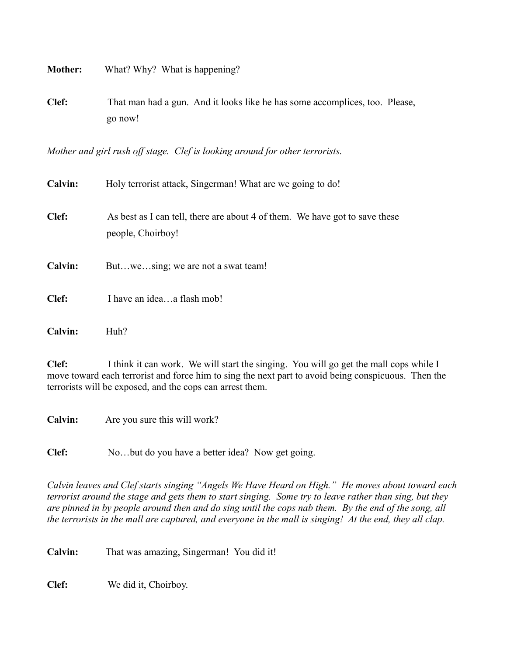**Mother:** What? Why? What is happening? **Clef:** That man had a gun. And it looks like he has some accomplices, too. Please, go now!

*Mother and girl rush off stage. Clef is looking around for other terrorists.*

| <b>Calvin:</b> | Holy terrorist attack, Singerman! What are we going to do!                                       |
|----------------|--------------------------------------------------------------------------------------------------|
| Clef:          | As best as I can tell, there are about 4 of them. We have got to save these<br>people, Choirboy! |
| <b>Calvin:</b> | Butwesing; we are not a swat team!                                                               |
| Clef:          | I have an ideaa flash mob!                                                                       |
| Calvin:        | Huh?                                                                                             |

**Clef:** I think it can work. We will start the singing. You will go get the mall cops while I move toward each terrorist and force him to sing the next part to avoid being conspicuous. Then the terrorists will be exposed, and the cops can arrest them.

**Calvin:** Are you sure this will work?

**Clef:** No…but do you have a better idea? Now get going.

*Calvin leaves and Clef starts singing "Angels We Have Heard on High." He moves about toward each terrorist around the stage and gets them to start singing. Some try to leave rather than sing, but they are pinned in by people around then and do sing until the cops nab them. By the end of the song, all the terrorists in the mall are captured, and everyone in the mall is singing! At the end, they all clap.*

**Calvin:** That was amazing, Singerman! You did it!

**Clef:** We did it, Choirboy.